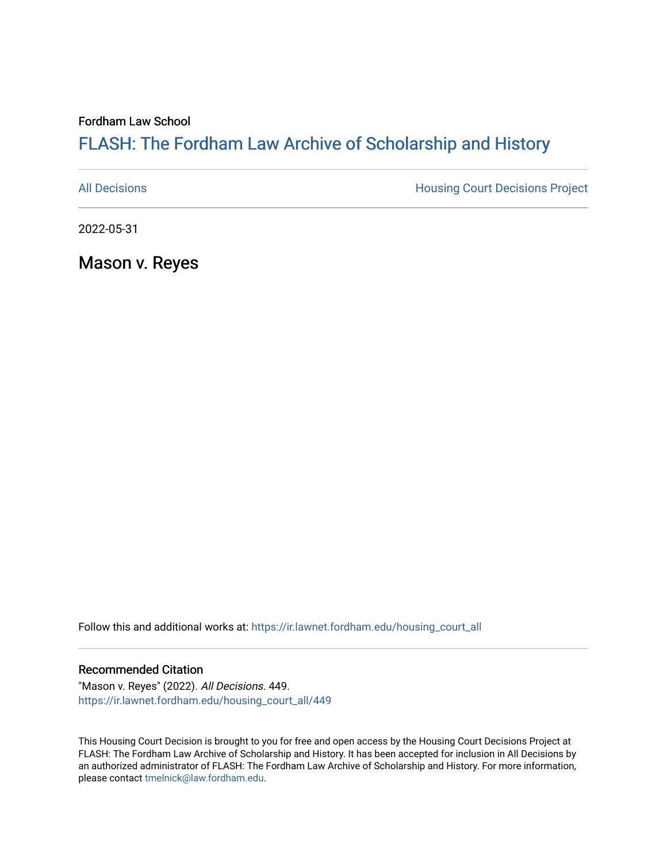Fordham Law School

## FLASH: The For[dham Law Archive of Scholarship and Hist](https://ir.lawnet.fordham.edu/)ory

[All Decisions](https://ir.lawnet.fordham.edu/housing_court_all) **All Decisions All Decisions** Project

2022-05-31

Mason v. Reyes

Follow this and additional works at: [https://ir.lawnet.fordham.edu/housing\\_court\\_all](https://ir.lawnet.fordham.edu/housing_court_all?utm_source=ir.lawnet.fordham.edu%2Fhousing_court_all%2F449&utm_medium=PDF&utm_campaign=PDFCoverPages)

## Recommended Citation

"Mason v. Reyes" (2022). All Decisions. 449. [https://ir.lawnet.fordham.edu/housing\\_court\\_all/449](https://ir.lawnet.fordham.edu/housing_court_all/449?utm_source=ir.lawnet.fordham.edu%2Fhousing_court_all%2F449&utm_medium=PDF&utm_campaign=PDFCoverPages)

This Housing Court Decision is brought to you for free and open access by the Housing Court Decisions Project at FLASH: The Fordham Law Archive of Scholarship and History. It has been accepted for inclusion in All Decisions by an authorized administrator of FLASH: The Fordham Law Archive of Scholarship and History. For more information, please contact [tmelnick@law.fordham.edu](mailto:tmelnick@law.fordham.edu).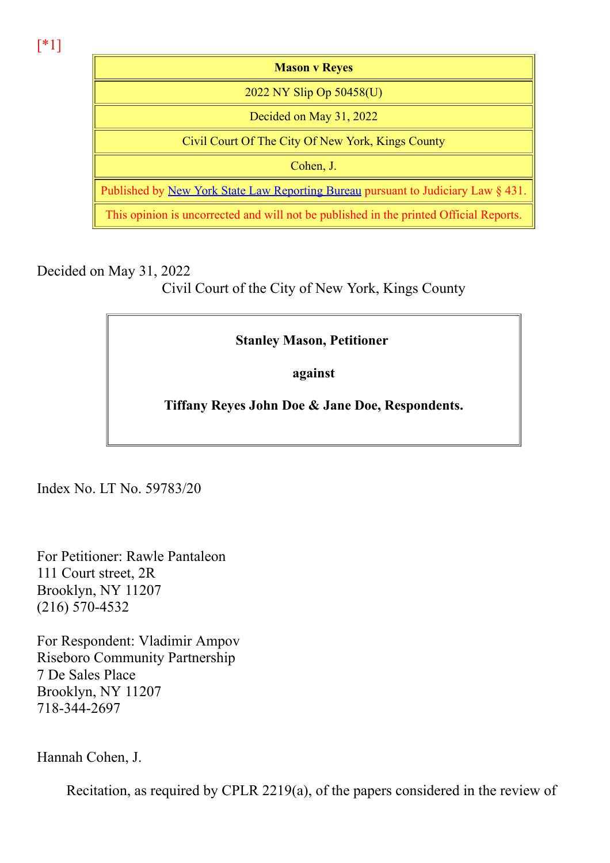[\*1]

Mason v Reyes 2022 NY Slip Op 50458(U) Decided on May 31, 2022 Civil Court Of The City Of New York, Kings County Cohen, J. Published by New York State Law Reporting Bureau pursuant to Judiciary Law § 431. This opinion is uncorrected and will not be published in the printed Official Reports.

Decided on May 31, 2022

Civil Court of the City of New York, Kings County

## Stanley Mason, Petitioner

against

Tiffany Reyes John Doe & Jane Doe, Respondents.

Index No. LT No. 59783/20

For Petitioner: Rawle Pantaleon 111 Court street, 2R Brooklyn, NY 11207  $(216)$  570-4532

For Respondent: Vladimir Ampov Riseboro Community Partnership 7 De Sales Place Brooklyn, NY 11207 7183442697

Hannah Cohen, J.

Recitation, as required by CPLR 2219(a), of the papers considered in the review of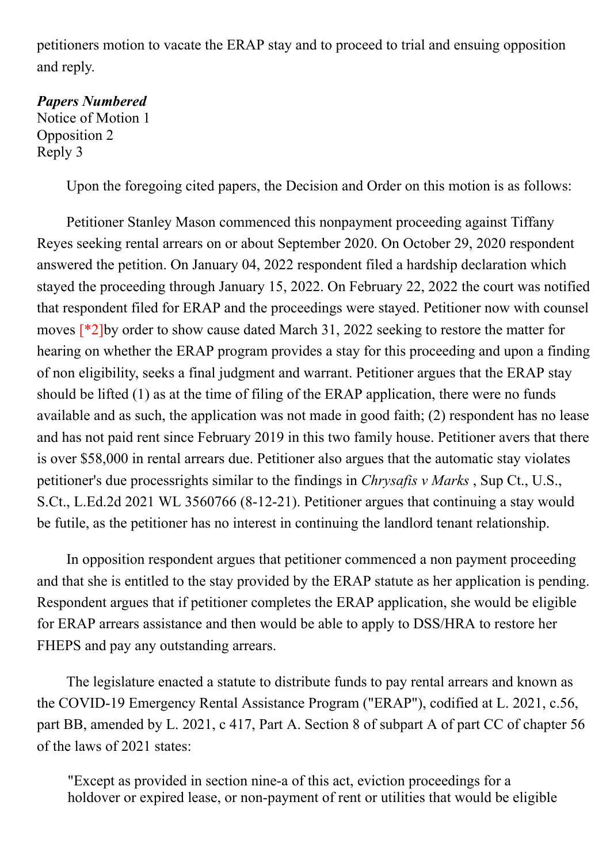petitioners motion to vacate the ERAP stay and to proceed to trial and ensuing opposition and reply.

## Papers Numbered

Notice of Motion 1 Opposition 2 Reply 3

Upon the foregoing cited papers, the Decision and Order on this motion is as follows:

Petitioner Stanley Mason commenced this nonpayment proceeding against Tiffany Reyes seeking rental arrears on or about September 2020. On October 29, 2020 respondent answered the petition. On January 04, 2022 respondent filed a hardship declaration which stayed the proceeding through January 15, 2022. On February 22, 2022 the court was notified that respondent filed for ERAP and the proceedings were stayed. Petitioner now with counsel moves [\*2]by order to show cause dated March 31, 2022 seeking to restore the matter for hearing on whether the ERAP program provides a stay for this proceeding and upon a finding of non eligibility, seeks a final judgment and warrant. Petitioner argues that the ERAP stay should be lifted (1) as at the time of filing of the ERAP application, there were no funds available and as such, the application was not made in good faith; (2) respondent has no lease and has not paid rent since February 2019 in this two family house. Petitioner avers that there is over \$58,000 in rental arrears due. Petitioner also argues that the automatic stay violates petitioner's due processrights similar to the findings in Chrysafis v Marks , Sup Ct., U.S., S.Ct., L.Ed.2d 2021 WL 3560766 (8-12-21). Petitioner argues that continuing a stay would be futile, as the petitioner has no interest in continuing the landlord tenant relationship.

In opposition respondent argues that petitioner commenced a non payment proceeding and that she is entitled to the stay provided by the ERAP statute as her application is pending. Respondent argues that if petitioner completes the ERAP application, she would be eligible for ERAP arrears assistance and then would be able to apply to DSS/HRA to restore her FHEPS and pay any outstanding arrears.

The legislature enacted a statute to distribute funds to pay rental arrears and known as the COVID-19 Emergency Rental Assistance Program ("ERAP"), codified at L. 2021, c.56, part BB, amended by L. 2021, c 417, Part A. Section 8 of subpart A of part CC of chapter 56 of the laws of 2021 states:

"Except as provided in section nine-a of this act, eviction proceedings for a holdover or expired lease, or non-payment of rent or utilities that would be eligible  $\frac{1}{2}$  ,  $\frac{1}{2}$  ,  $\frac{1}{2}$  ,  $\frac{1}{2}$  ,  $\frac{1}{2}$  ,  $\frac{1}{2}$  ,  $\frac{1}{2}$  ,  $\frac{1}{2}$  ,  $\frac{1}{2}$  ,  $\frac{1}{2}$  ,  $\frac{1}{2}$  ,  $\frac{1}{2}$  ,  $\frac{1}{2}$  ,  $\frac{1}{2}$  ,  $\frac{1}{2}$  ,  $\frac{1}{2}$  ,  $\frac{1}{2}$  ,  $\frac{1}{2}$  ,  $\frac{1$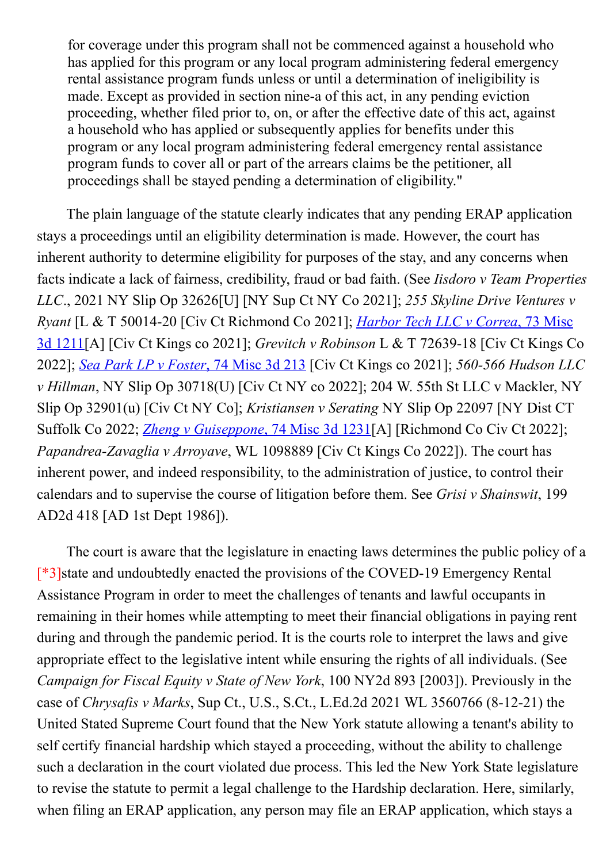for coverage under this program shall not be commenced against a household who has applied for this program or any local program administering federal emergency rental assistance program funds unless or until a determination of ineligibility is made. Except as provided in section nine-a of this act, in any pending eviction proceeding, whether filed prior to, on, or after the effective date of this act, against a household who has applied or subsequently applies for benefits under this program or any local program administering federal emergency rental assistance program funds to cover all or part of the arrears claims be the petitioner, all proceedings shall be stayed pending a determination of eligibility."

The plain language of the statute clearly indicates that any pending ERAP application stays a proceedings until an eligibility determination is made. However, the court has inherent authority to determine eligibility for purposes of the stay, and any concerns when facts indicate a lack of fairness, credibility, fraud or bad faith. (See Iisdoro v Team Properties LLC., 2021 NY Slip Op 32626[U] [NY Sup Ct NY Co 2021]; 255 Skyline Drive Ventures v Ryant [L & T 50014-20 [Civ Ct Richmond Co 2021]; *Harbor Tech LLC v Correa*, 73 Misc 3d 1211[A] [Civ Ct Kings co 2021]; Grevitch v Robinson L & T 7263918 [Civ Ct Kings Co 2022]; Sea Park LP v Foster, 74 Misc 3d 213 [Civ Ct Kings co 2021]; 560-566 Hudson LLC v Hillman, NY Slip Op 30718(U) [Civ Ct NY co 2022]; 204 W. 55th St LLC v Mackler, NY Slip Op 32901(u) [Civ Ct NY Co]; Kristiansen v Serating NY Slip Op 22097 [NY Dist CT Suffolk Co 2022; *Zheng v Guiseppone*, 74 Misc 3d 1231<sup>[A]</sup> [Richmond Co Civ Ct 2022]; Papandrea-Zavaglia v Arroyave, WL 1098889 [Civ Ct Kings Co 2022]). The court has inherent power, and indeed responsibility, to the administration of justice, to control their calendars and to supervise the course of litigation before them. See Grisi v Shainswit, 199 AD2d 418 [AD 1st Dept 1986]).

The court is aware that the legislature in enacting laws determines the public policy of a  $[^*3]$ state and undoubtedly enacted the provisions of the COVED-19 Emergency Rental Assistance Program in order to meet the challenges of tenants and lawful occupants in remaining in their homes while attempting to meet their financial obligations in paying rent during and through the pandemic period. It is the courts role to interpret the laws and give appropriate effect to the legislative intent while ensuring the rights of all individuals. (See Campaign for Fiscal Equity v State of New York, 100 NY2d 893 [2003]). Previously in the case of *Chrysafis v Marks*, Sup Ct., U.S., S.Ct., L.Ed.2d 2021 WL 3560766 (8-12-21) the United Stated Supreme Court found that the New York statute allowing a tenant's ability to self certify financial hardship which stayed a proceeding, without the ability to challenge such a declaration in the court violated due process. This led the New York State legislature to revise the statute to permit a legal challenge to the Hardship declaration. Here, similarly, when filing an ERAP application, any person may file an ERAP application, which stays a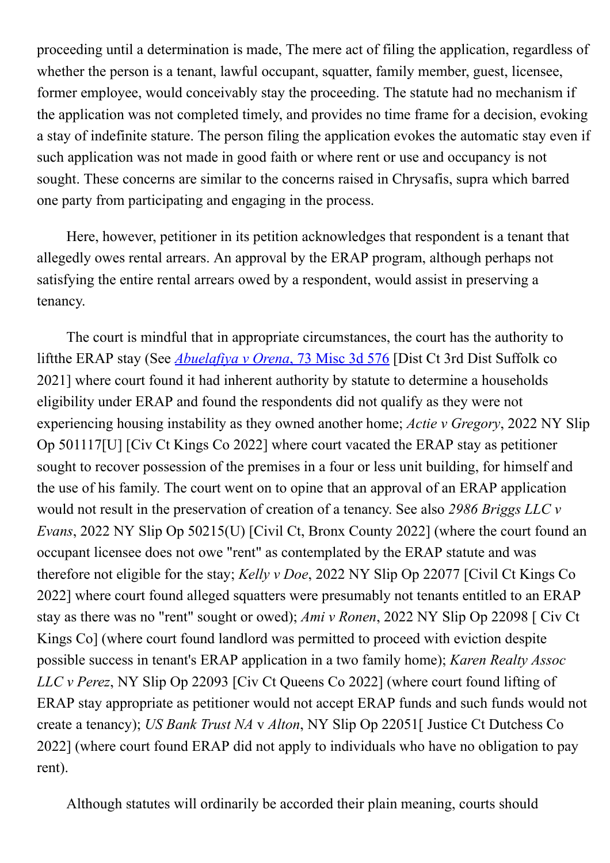proceeding until a determination is made, The mere act of filing the application, regardless of whether the person is a tenant, lawful occupant, squatter, family member, guest, licensee, former employee, would conceivably stay the proceeding. The statute had no mechanism if the application was not completed timely, and provides no time frame for a decision, evoking a stay of indefinite stature. The person filing the application evokes the automatic stay even if such application was not made in good faith or where rent or use and occupancy is not sought. These concerns are similar to the concerns raised in Chrysafis, supra which barred one party from participating and engaging in the process.

Here, however, petitioner in its petition acknowledges that respondent is a tenant that allegedly owes rental arrears. An approval by the ERAP program, although perhaps not satisfying the entire rental arrears owed by a respondent, would assist in preserving a tenancy.

The court is mindful that in appropriate circumstances, the court has the authority to liftthe ERAP stay (See *Abuelafiya v Orena*, 73 Misc 3d 576 [Dist Ct 3rd Dist Suffolk co 2021] where court found it had inherent authority by statute to determine a households eligibility under ERAP and found the respondents did not qualify as they were not experiencing housing instability as they owned another home; Actie v Gregory, 2022 NY Slip Op 501117[U] [Civ Ct Kings Co 2022] where court vacated the ERAP stay as petitioner sought to recover possession of the premises in a four or less unit building, for himself and the use of his family. The court went on to opine that an approval of an ERAP application would not result in the preservation of creation of a tenancy. See also 2986 Briggs LLC v Evans, 2022 NY Slip Op 50215(U) [Civil Ct, Bronx County 2022] (where the court found an occupant licensee does not owe "rent" as contemplated by the ERAP statute and was therefore not eligible for the stay; Kelly v Doe, 2022 NY Slip Op 22077 [Civil Ct Kings Co 2022] where court found alleged squatters were presumably not tenants entitled to an ERAP stay as there was no "rent" sought or owed); Ami v Ronen, 2022 NY Slip Op 22098 [ Civ Ct Kings Co] (where court found landlord was permitted to proceed with eviction despite possible success in tenant's ERAP application in a two family home); Karen Realty Assoc LLC v Perez, NY Slip Op 22093 [Civ Ct Queens Co 2022] (where court found lifting of ERAP stay appropriate as petitioner would not accept ERAP funds and such funds would not create a tenancy); US Bank Trust NA v Alton, NY Slip Op 22051[ Justice Ct Dutchess Co 2022] (where court found ERAP did not apply to individuals who have no obligation to pay rent).

Although statutes will ordinarily be accorded their plain meaning, courts should